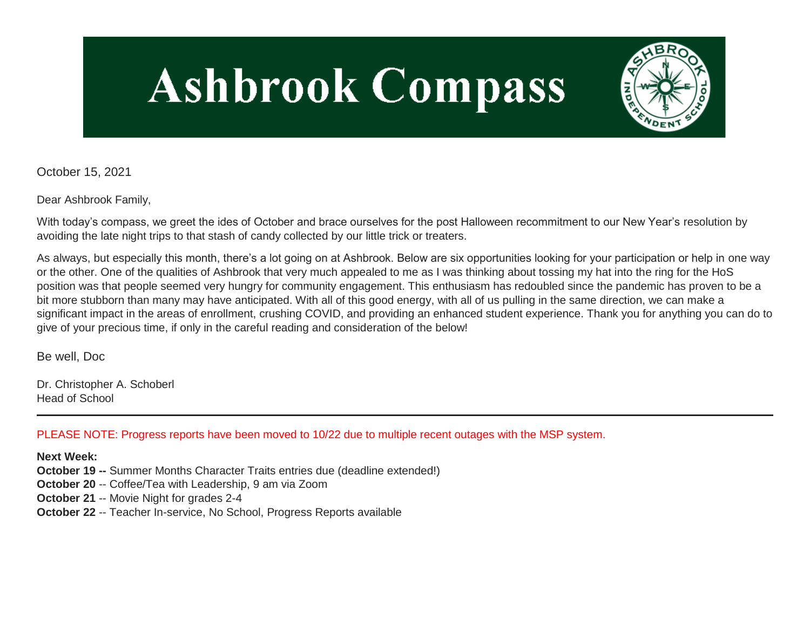# **Ashbrook Compass**



October 15, 2021

Dear Ashbrook Family,

With today's compass, we greet the ides of October and brace ourselves for the post Halloween recommitment to our New Year's resolution by avoiding the late night trips to that stash of candy collected by our little trick or treaters.

As always, but especially this month, there's a lot going on at Ashbrook. Below are six opportunities looking for your participation or help in one way or the other. One of the qualities of Ashbrook that very much appealed to me as I was thinking about tossing my hat into the ring for the HoS position was that people seemed very hungry for community engagement. This enthusiasm has redoubled since the pandemic has proven to be a bit more stubborn than many may have anticipated. With all of this good energy, with all of us pulling in the same direction, we can make a significant impact in the areas of enrollment, crushing COVID, and providing an enhanced student experience. Thank you for anything you can do to give of your precious time, if only in the careful reading and consideration of the below!

Be well, Doc

Dr. Christopher A. Schoberl Head of School

PLEASE NOTE: Progress reports have been moved to 10/22 due to multiple recent outages with the MSP system.

**Next Week:**

**October 19 --** Summer Months Character Traits entries due (deadline extended!)

**October 20** -- Coffee/Tea with Leadership, 9 am via Zoom

**October 21** -- Movie Night for grades 2-4

**October 22** -- Teacher In-service, No School, Progress Reports available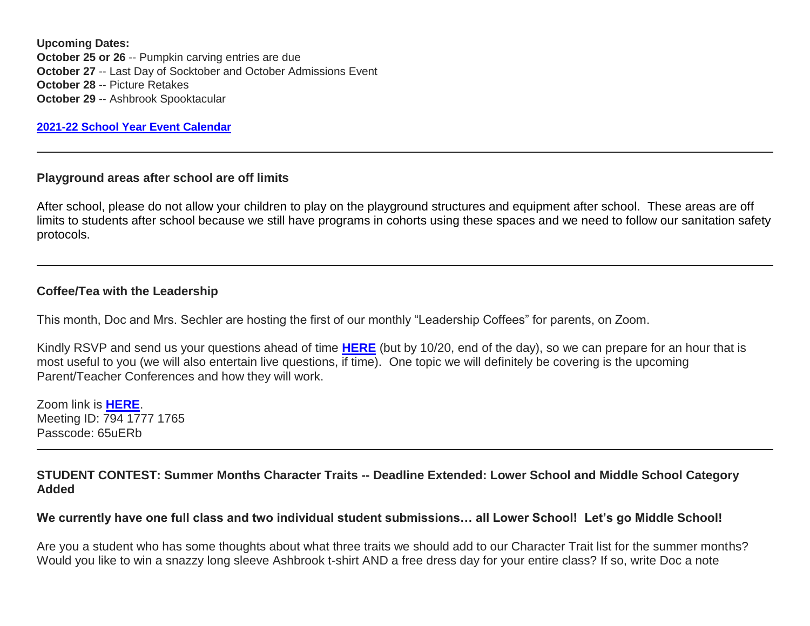**Upcoming Dates: October 25 or 26 -- Pumpkin carving entries are due October 27** -- Last Day of Socktober and October Admissions Event **October 28** -- Picture Retakes **October 29** -- Ashbrook Spooktacular

**[2021-22 School Year Event Calendar](http://link.mystudentsprogress.com/ls/click?upn=t3AI3kjK1Pyk9qPfHnOahelBVVSIlRAa3GeSLMbkINmgHr3guxrPuqfp-2Bh-2FJW4nCZ4g8Gi3XkGXC-2FKATZbsSvlLtGaxynoxi8rg7wuoRjJ9ogb5HbX999Eip-2FZE6wLdBt-2FZXHJBS6zquMLtzN9wyAf-2BwWQPV3rI3lDDknuQ1JHMBzJ8gUYT-2F7YzNEwZY9IsL01sHprQ-2FIDOi-2FxvxQxcWetx3uPiVsOO-2BTqPctwW7ytf9RkxC1x3UjTIEBtRaqxRocHrr-2BmciBR4-2BJ-2F9FRK9RIbCVijz3zpNIIcd4PIsUMddSSVNBf6Erlmv-2BHBcLMpY-2BXATDQ1ruaOReFDZmWYSBv8U-2FG-2FKOr0yEkAwqSdMzdcQ3gq4Z79RZNOTZP4nGap5-2B4nzc4nIf29OyD3NhvJHQaLkc85sE-2FfYbPaGyyk6H2FOzJRYThJmT37US6LpTrGNlh9HxVTLYe1LpjcNTBXNJsSKlp-2BAa-2BVuGTdE8v33fTt9-2BgR-2BE9tSlDPzhNHxWPZ2RZ535aLRz3SoCCiPZR3EABfh4FMKDRC4z2q-2Bvjvbtim7SOD4kDD2r5XYSDBe4a3bcI5fNds6iRAQWmj3uDnwn3-2B3tKuGNT1JKaRpJXKTgGLzWZLAnNUo4fvdQC77H83vaK-2BM8PCeLuljt-2FRAsnx0cP-2FGdRouESOyMOB5ORkT-2BH-2Bkw4hRRiiTCpe61BsZqpA-2Butqcc_1PndbFfBoQGSZbxwXHHEexw3B2F0fG-2BUmuXm6a-2BX-2BzswNDzDEkCCQHprs6NZrRojRJ7SgLZ3Tgg3CrPtJSKtJgGxfbWqolqIB1PEGFoh-2BJ7DHsoVbEnubEQJuvFeO85JTcY8yiVWzaW7564BFzvWm7v2bdsdWCy67zizpXNXA-2BBKmwFY4LXcGq8mSgtM40MtZUiHMRUqnFHAus3Ni47k8epyH3Fum2Ok2rxmCsmEqwo28-2BUfzLZCEu0SSjx8E1QfUcpTgxFxgacSdVrfgmziQB7XESR3-2BbLbn8GJ2fsudWMV8SPP1sjvbIrVJDenRMl6a-2F8YdW9k1k4TIXA5SYlJTfK17e7LfAkMfbBRK-2BaLzwNsHZn3CAczbT94TPk-2FtJTYVpxC42BTOzsQ6U2qruHpX-2BGfadywkJZIn3uREvnOL9Gkhjkghxs6rJTkGa7DGuZl)**

#### **Playground areas after school are off limits**

After school, please do not allow your children to play on the playground structures and equipment after school. These areas are off limits to students after school because we still have programs in cohorts using these spaces and we need to follow our sanitation safety protocols.

#### **Coffee/Tea with the Leadership**

This month, Doc and Mrs. Sechler are hosting the first of our monthly "Leadership Coffees" for parents, on Zoom.

Kindly RSVP and send us your questions ahead of time **[HERE](http://link.mystudentsprogress.com/ls/click?upn=VpBe6Z9t6RkEC4qAoQCeri-2FFFh7llDqKppeMq4GAyjRWQxckQw26M-2Bv6Io9sYjjz6W46CCH-2BubvpuVA63wKWOQQJss8C6Vt0wfy2dMmIAlPCF1ws7NpquVMTlBHkjSNygp1Q4BVNatlJxkvTtJdWaH8mC55iZ7bU9YEXcPleWTo-3Dzq-j_1PndbFfBoQGSZbxwXHHEexw3B2F0fG-2BUmuXm6a-2BX-2BzswNDzDEkCCQHprs6NZrRojRJ7SgLZ3Tgg3CrPtJSKtJgkf9AFjPSewZDu3yyUzIXD-2Bzf-2BfpuHj6SG7ynNrNlxDMo0dQFOqgg4zeLU-2B4Rn1Pm7HEjvDRFP9u8NWRPQdlpc8uMTOsu3Bs-2Btynr2kMzfLqV1EpwB-2Fy0uumF3G3r77bnPfAQLxeeCKuD5jP0DzuKCuOxdCbRs1Pk7OKl2nfHzLL1JZiTLlp7875DK5i2ONPp1iW-2B48dY0Z6dsXn3dfm7591-2Fa7-2BoThxAE6BNgwEVmBnZUeKFw2Yeb5iM5CsPnKXFa2u5tv4ewsiVjVCGYyMsKS9AYhaiS9YFvu0Xlqz9lsi1tQJeO7pFSjpmstc8fjdJitzdT-2F-2BPmu-2BAYrp15hnVWe2qImsZCiPddQNuVn6ssb)** (but by 10/20, end of the day), so we can prepare for an hour that is most useful to you (we will also entertain live questions, if time). One topic we will definitely be covering is the upcoming Parent/Teacher Conferences and how they will work.

Zoom link is **[HERE](http://link.mystudentsprogress.com/ls/click?upn=t3AI3kjK1Pyk9qPfHnOahVHSbYzauVLYKYoEWEsrFvB-2FXc9uXhlOxSXqhR8EclHag0zaHvkZkC18KUnySmwOTICPUsJWF5RCbuUHy2b39xOMe4IEeRjt3pfXZmTg1uMWFiaC_1PndbFfBoQGSZbxwXHHEexw3B2F0fG-2BUmuXm6a-2BX-2BzswNDzDEkCCQHprs6NZrRojRJ7SgLZ3Tgg3CrPtJSKtJrvhOAFYIZHpsCq3MTJK05L68DMzY-2BzagiWdOJ4PN-2BLbBZf0Jw84pdS-2BI6sUbiNW0y7k2PFtrPca0b90uh96b6W1AnPzuMaMy1SXXc-2F6jvcBAmRSgsAgkUhNETnPR6PYiqyvLjnUzeW3vB3CMSwbrqGwM0FJstK-2ByKEXHOFEv6ZPh4h9st5mgJH4ZUw-2FLeHakGSNgJ09yFL3IrR55h94H4-2BBkBUSpY5uIHgtU7R74bK1nHtm5o29aFmQPKhDPqRS6Rlb8HsqPDuTFaFoJBI0sbad24-2B9vLWQ2Rm8-2Fe7EkYFyQW81ErI787pZT6oQK6PEn7s4DI3-2FH7HUCG38p5RaiHqRakPNXKvog-2FRBWT9oTo-2BQ)**. Meeting ID: 794 1777 1765 Passcode: 65uERb

**STUDENT CONTEST: Summer Months Character Traits -- Deadline Extended: Lower School and Middle School Category Added**

**We currently have one full class and two individual student submissions… all Lower School! Let's go Middle School!**

Are you a student who has some thoughts about what three traits we should add to our Character Trait list for the summer months? Would you like to win a snazzy long sleeve Ashbrook t-shirt AND a free dress day for your entire class? If so, write Doc a note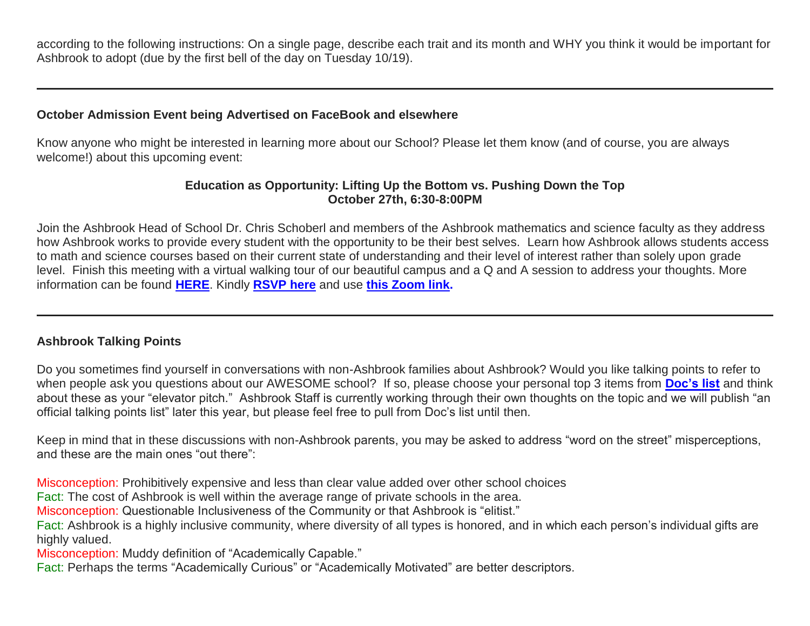according to the following instructions: On a single page, describe each trait and its month and WHY you think it would be important for Ashbrook to adopt (due by the first bell of the day on Tuesday 10/19).

# **October Admission Event being Advertised on FaceBook and elsewhere**

Know anyone who might be interested in learning more about our School? Please let them know (and of course, you are always welcome!) about this upcoming event:

### **Education as Opportunity: Lifting Up the Bottom vs. Pushing Down the Top October 27th, 6:30-8:00PM**

Join the Ashbrook Head of School Dr. Chris Schoberl and members of the Ashbrook mathematics and science faculty as they address how Ashbrook works to provide every student with the opportunity to be their best selves. Learn how Ashbrook allows students access to math and science courses based on their current state of understanding and their level of interest rather than solely upon grade level. Finish this meeting with a virtual walking tour of our beautiful campus and a Q and A session to address your thoughts. More information can be found **[HERE](http://link.mystudentsprogress.com/ls/click?upn=VpBe6Z9t6RkEC4qAoQCerkRqVNRJCi4SE2bZPjoSvlxhj4mrrx4sF5albLPCxerkfKVfGjO7yszFnTj4bKrODN49rneal2-2FX7vX7I0MKuBUpD8ryUaIZJactz2aNWd-2B7BZ8igC5f6YbdDCgFU5Rjmw-3D-3DUnf2_1PndbFfBoQGSZbxwXHHEexw3B2F0fG-2BUmuXm6a-2BX-2BzswNDzDEkCCQHprs6NZrRojRJ7SgLZ3Tgg3CrPtJSKtJqxN-2BujvQIwDnILfNSkPoWCK8H74Wm8-2FrXkmccg6C4bPP6qf2euW300MrlvnYOCLbsojCyvkta4KwRzYPbC40-2FEcACBAONCCheHrLyF4uoDlf1OdaEs0dx8-2FLYYCutKyusmSi-2FTNYvC35-2FKO7rSBMLmUTYZRwMgEtLo-2FocIMtFkwBZZJPR56Vnot8qiqAx3nsLQbNmZdRsPFVYULFvVjQ8kA59g90pyIhuUxKWy-2Bq5R4H5VS8jyM0qTJWLNrcO19pgFeI0vbtWy3ehJ-2FYOStLHk67IPB-2FOWeA6bEI9Jb9o5onUEgsOTJGIVpcrrEjuxBNIlLO92pveLANxBdjLhpaUhwb9bNoP2eP2Vmyi2suJoJ)**. Kindly **[RSVP here](http://link.mystudentsprogress.com/ls/click?upn=VpBe6Z9t6RkEC4qAoQCernsp8HCBMjyTYLa4-2FtRs-2FrjZT4xe8StcRw4RHC-2BrJflqZIqF5vSyFA4Ah5HB6jNgaCTBh-2F9vzIxb863G74DKTEGNSzVXvspBZ34U7O0uSwtX95zEEin2T3SzSK77tzuLMA-3D-3DhVm5_1PndbFfBoQGSZbxwXHHEexw3B2F0fG-2BUmuXm6a-2BX-2BzswNDzDEkCCQHprs6NZrRojRJ7SgLZ3Tgg3CrPtJSKtJkjYOaD0jdnd0speEAz4C4CC4i86-2B8ZSAilthAU5oFXuwVQcLZiUXDBA2yyBG4JSHStzX-2Ffld7t2VhT-2FuT8vyzcR6FnYmUxvX1-2B96Vjh0uZhNEORFTGJThk7rWkt31WZ1hFRnBQ9poXx7epPkuY1PveE3kKDRDV1LYeb-2FjYBrQ9Wp559-2BcZwuek1NZkzUwysuyb2EWx5kmgmXirem3QkxRjwG6fOUWsMLxcQYbn-2BdASQ9VjmELlMMnENd0MurYsAqd9VAAPCMtCx6lfAU6hklFYvaAi7CFovif-2BejHQk0m6vz7Y5738-2BkZwn3CC4-2Fni5wFDL0-2FxD48mygfUc0-2BVxtIIgOMhB2SWfFiFyJSu8Bqy3)** and use **[this Zoom link.](http://link.mystudentsprogress.com/ls/click?upn=Lvt3LPM7A1sFVWVv8wsbu2RtUZ61Yhy5Rt20rBBhpJ110F0IBNqwCcUvVe0PYe8XK8rxhyG9uGIl97PB5e2EaosPWi09oEkhEdqjwk7vmKu4pyuqQfhQ7PeGybiDNv4kW__f_1PndbFfBoQGSZbxwXHHEexw3B2F0fG-2BUmuXm6a-2BX-2BzswNDzDEkCCQHprs6NZrRojRJ7SgLZ3Tgg3CrPtJSKtJlwHcQD8sqCnXqm2JNpU9dL-2F-2FM4TfwMgutSI6hCk7ISW-2FBBcE6RPTzBZTL7-2F1qlbrEqGIkOvh-2Br3DjtvYaWpcDZOu9IGBADEoqc33ffoCmdkpXw26-2BJEoxaB670Hmup6VgK7G5Rty8j4GPVNI3tMFQFB80OpUddbtfRPkJDSfC0tRRHjBg56Ky5-2Fpr0X3Z8WkB-2Bb9NXxm4Vb8D7ArDuZeqDQrvd-2BCWzdPd72wHb6E80rjXHiRxMR8KqvO5gxuIdOzUDgNB1Gm9z4ks2cv29QZ2gsrQWuVxApj5n5wSfWBtc1fKKMHct4yiVdUAf6zrHvOO6qhsrsE5uNyKJQWjWYx3k1EsMPEwxF7yvT5dTVGAxV)**

# **Ashbrook Talking Points**

Do you sometimes find yourself in conversations with non-Ashbrook families about Ashbrook? Would you like talking points to refer to when people ask you questions about our AWESOME school? If so, please choose your personal top 3 items from **[Doc's list](http://link.mystudentsprogress.com/ls/click?upn=VpBe6Z9t6RkEC4qAoQCerkRqVNRJCi4SE2bZPjoSvlzTD0HI4Wti75FiopqkUUnEHqyjk8EB-2BsYSiQl4fDp8a0EWPa1j0yn6mNZfRzpxhbSrmGj6LD1FwSisuTwGu-2Fwq6VQeo5agxOVsFvioURa8Wg-3D-3DhkX2_1PndbFfBoQGSZbxwXHHEexw3B2F0fG-2BUmuXm6a-2BX-2BzswNDzDEkCCQHprs6NZrRojRJ7SgLZ3Tgg3CrPtJSKtJkqUCsCyvWljxQkIamB8FglJDLQJg4n4sByBOG-2F-2BNULsvk9Fph18K1DcS-2BXF5BuxFt5opiDrZYzhDwAsVfVRPXJNCJymo0PE62mveI7xdQ2Ga7EEymOkCkEhfDhzU3UXFJMzAII-2FAxAP9-2BzdCo2501LUHE7k9tVzfg580uexqFlPO8jAwwYXkn3RUbouxLYxJtJS1EfZlgNrnHBzKJe9GPi-2B67XcomKeqm5PgtEnLMadStSLr63m79jozPw7VC14i1t08PvPNVWtAPJrraRa0E-2B2wa7YVooipzwSfXcoZnYB88UplH-2FJ8Vy1-2BZIa2lxYlGP8kprYQi1mVL9YFYVBheBu9cTULAcCd9f-2FW8AoZY7c)** and think about these as your "elevator pitch." Ashbrook Staff is currently working through their own thoughts on the topic and we will publish "an official talking points list" later this year, but please feel free to pull from Doc's list until then.

Keep in mind that in these discussions with non-Ashbrook parents, you may be asked to address "word on the street" misperceptions, and these are the main ones "out there":

Misconception: Prohibitively expensive and less than clear value added over other school choices

Fact: The cost of Ashbrook is well within the average range of private schools in the area.

Misconception: Questionable Inclusiveness of the Community or that Ashbrook is "elitist."

Fact: Ashbrook is a highly inclusive community, where diversity of all types is honored, and in which each person's individual gifts are highly valued.

Misconception: Muddy definition of "Academically Capable."

Fact: Perhaps the terms "Academically Curious" or "Academically Motivated" are better descriptors.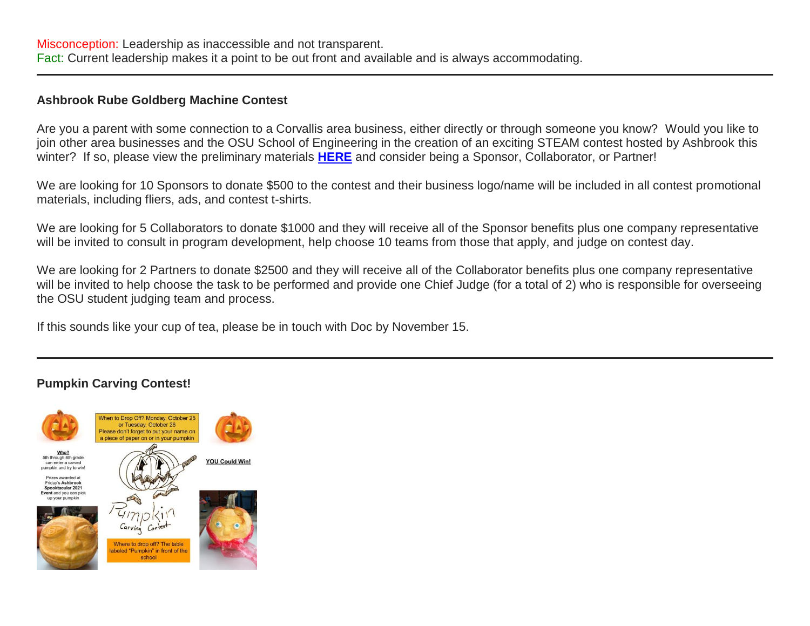Misconception: Leadership as inaccessible and not transparent. Fact: Current leadership makes it a point to be out front and available and is always accommodating.

#### **Ashbrook Rube Goldberg Machine Contest**

Are you a parent with some connection to a Corvallis area business, either directly or through someone you know? Would you like to join other area businesses and the OSU School of Engineering in the creation of an exciting STEAM contest hosted by Ashbrook this winter? If so, please view the preliminary materials **[HERE](http://link.mystudentsprogress.com/ls/click?upn=VpBe6Z9t6RkEC4qAoQCerkRqVNRJCi4SE2bZPjoSvlyQoeU-2FIMLvrrQLugoxaQDi4hBir2PlvtR1m1s3i4Q-2F8ZtbmNMAAmHZgcKYEJ-2FvJ73jteYeK25VK8uh2z05jsqh1liEV0kR6KEK9zTqAq-2B0Ng-3D-3DsP6-_1PndbFfBoQGSZbxwXHHEexw3B2F0fG-2BUmuXm6a-2BX-2BzswNDzDEkCCQHprs6NZrRojRJ7SgLZ3Tgg3CrPtJSKtJrcKvWtm8yac4-2FQCoCn1427xxWbIE6ECu5SoIBfsZhyLJugQY9tkc5GpWdcgzpPNqL0Ar6BSQfuyPKzMmH9lNpflCTWLB-2BpTGc9X8KpdaQ1HKjW0sjeukq9ja0RY8dNt2oH8DhVtMymU-2Bs-2B5fyeqL7L84v1Q6DAWcboCgceGjRfsCFKJ6cI0eToNcHl2lpJLBcO7DKa-2BghIQs-2BRWeUOIU8njxkAK3j-2FUXjBk-2FkAQubVX3fxDvoV61OtEe1pcsDOD5icpfraHZ89qKhrc623J1re6WqxRT2FnJx2eOp4n1Oz3TO5QHQt1PgwdnqO9j4sp64j-2BPPdJ4c4WUXh-2F8Vc1hvrQkcAWGXgL5jJOz3BI-2F6wY)** and consider being a Sponsor, Collaborator, or Partner!

We are looking for 10 Sponsors to donate \$500 to the contest and their business logo/name will be included in all contest promotional materials, including fliers, ads, and contest t-shirts.

We are looking for 5 Collaborators to donate \$1000 and they will receive all of the Sponsor benefits plus one company representative will be invited to consult in program development, help choose 10 teams from those that apply, and judge on contest day.

We are looking for 2 Partners to donate \$2500 and they will receive all of the Collaborator benefits plus one company representative will be invited to help choose the task to be performed and provide one Chief Judge (for a total of 2) who is responsible for overseeing the OSU student judging team and process.

If this sounds like your cup of tea, please be in touch with Doc by November 15.

#### **Pumpkin Carving Contest!**

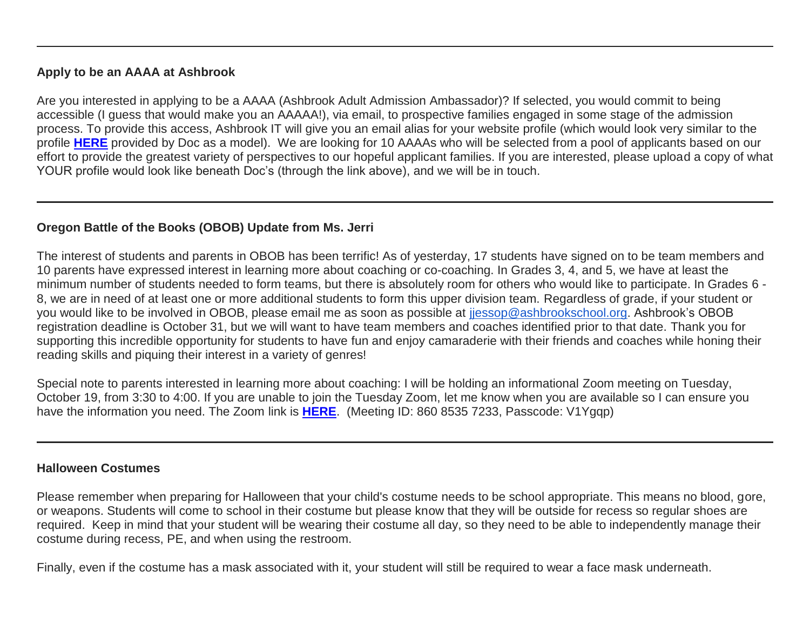### **Apply to be an AAAA at Ashbrook**

Are you interested in applying to be a AAAA (Ashbrook Adult Admission Ambassador)? If selected, you would commit to being accessible (I guess that would make you an AAAAA!), via email, to prospective families engaged in some stage of the admission process. To provide this access, Ashbrook IT will give you an email alias for your website profile (which would look very similar to the profile **[HERE](http://link.mystudentsprogress.com/ls/click?upn=VpBe6Z9t6RkEC4qAoQCerkRqVNRJCi4SE2bZPjoSvlzimYlXtZ4BgnvOTiYIdH1aFO5wiRsMFgAuIJWWpG6uFZ8Va3vqO0KLZ6GEpylEIMh9soVujh17Xj9Fxl7Wm9YOSVZMd3WUiiYlhZgtiWqRpQ-3D-3DUGhz_1PndbFfBoQGSZbxwXHHEexw3B2F0fG-2BUmuXm6a-2BX-2BzswNDzDEkCCQHprs6NZrRojRJ7SgLZ3Tgg3CrPtJSKtJlomVgId4i4faq3QVpWzCtwCVjeLgnIoRTLTqbuNpV6z05LpaxCT4FmgJD5yQWsnidfA-2FijWGRab0GsFnviZJn14EQZnFpPhg946z-2FNRzpoUMKDYFerbXvlWitTO7p75z7deVWVGstgYY6eRRW6FwhhdFt-2Fhne6-2FxhHgtGHfjF0R7-2F-2B-2FBR66h3Zwa0DWtZsZlH0F6J9b3L75VLI1pbMmJNGzXhNo2g8AvhmBy49FMBS0r37msSdt51TKsh3LF028sfhEWZwITSvr0kGIG4X2Fn1zpAyOhwpGqKHhb-2FvALpKt6UOIG5iIA6us0ESmRq0tVJkQGySM04sKX2EK9m4wioETNgquOxjM9WaOilt8WJfj)** provided by Doc as a model). We are looking for 10 AAAAs who will be selected from a pool of applicants based on our effort to provide the greatest variety of perspectives to our hopeful applicant families. If you are interested, please upload a copy of what YOUR profile would look like beneath Doc's (through the link above), and we will be in touch.

# **Oregon Battle of the Books (OBOB) Update from Ms. Jerri**

The interest of students and parents in OBOB has been terrific! As of yesterday, 17 students have signed on to be team members and 10 parents have expressed interest in learning more about coaching or co-coaching. In Grades 3, 4, and 5, we have at least the minimum number of students needed to form teams, but there is absolutely room for others who would like to participate. In Grades 6 - 8, we are in need of at least one or more additional students to form this upper division team. Regardless of grade, if your student or you would like to be involved in OBOB, please email me as soon as possible at [jjessop@ashbrookschool.org.](mailto:jjessop@ashbrookschool.org) Ashbrook's OBOB registration deadline is October 31, but we will want to have team members and coaches identified prior to that date. Thank you for supporting this incredible opportunity for students to have fun and enjoy camaraderie with their friends and coaches while honing their reading skills and piquing their interest in a variety of genres!

Special note to parents interested in learning more about coaching: I will be holding an informational Zoom meeting on Tuesday, October 19, from 3:30 to 4:00. If you are unable to join the Tuesday Zoom, let me know when you are available so I can ensure you have the information you need. The Zoom link is **[HERE](http://link.mystudentsprogress.com/ls/click?upn=t3AI3kjK1Pyk9qPfHnOahdUXsXwKktIG8PjKMmDa563d2d1vQSZPqiElL-2FoJLlzQPgpQhCgXDQH01F9e1zws2fxO7LJY2-2BFD8EO6saCDDWVD1opAVokOgM0gAFRo-2FtKEBA-g_1PndbFfBoQGSZbxwXHHEexw3B2F0fG-2BUmuXm6a-2BX-2BzswNDzDEkCCQHprs6NZrRojRJ7SgLZ3Tgg3CrPtJSKtJj0Vls4WbbvMVqwtwD4W2HStFA59WoXdCqizo2tb6-2F-2FNqYFOpS-2F-2Bf86Qj6fy4mvveQVzspc0kH8xjtIfr93rKiWKVIr6smcxj4ex23-2F-2Ba0Dhr4NjG8UwF9rJLcRpcgsVNCHrKuP9EGsN-2BrafPDcW-2FZWdJwHY89hlqVAz0X5pwdPUExycQAztPYLVFZzT2jDMlqCCyktU-2BnXKytjbGXxxaZignL6zFkXPdrvepJXsrtSYD6exvV1IQOlnW11XoCcE-2B82yYkmzjusoRqA-2F1oyR4PT9tmNwaK0jxUcNosYls6McWODSjIyvyswIHSrRx2LMY-2F7fYdqvggkBNfXeOAJH-2BC4Xh0Kmxo2k77he-2Ft32WUp-2F)**. (Meeting ID: 860 8535 7233, Passcode: V1Ygqp)

# **Halloween Costumes**

Please remember when preparing for Halloween that your child's costume needs to be school appropriate. This means no blood, gore, or weapons. Students will come to school in their costume but please know that they will be outside for recess so regular shoes are required. Keep in mind that your student will be wearing their costume all day, so they need to be able to independently manage their costume during recess, PE, and when using the restroom.

Finally, even if the costume has a mask associated with it, your student will still be required to wear a face mask underneath.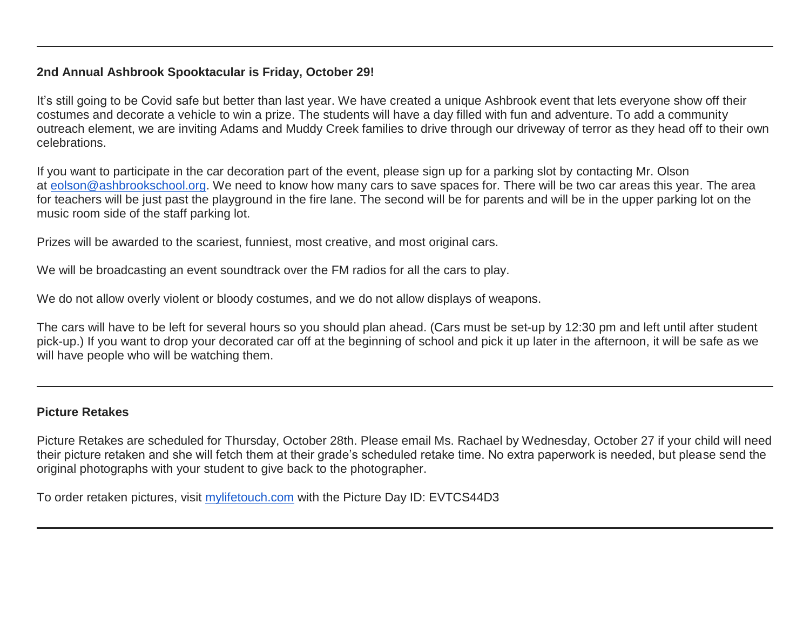# **2nd Annual Ashbrook Spooktacular is Friday, October 29!**

It's still going to be Covid safe but better than last year. We have created a unique Ashbrook event that lets everyone show off their costumes and decorate a vehicle to win a prize. The students will have a day filled with fun and adventure. To add a community outreach element, we are inviting Adams and Muddy Creek families to drive through our driveway of terror as they head off to their own celebrations.

If you want to participate in the car decoration part of the event, please sign up for a parking slot by contacting Mr. Olson at [eolson@ashbrookschool.org.](mailto:eolson@ashbrookschool.org) We need to know how many cars to save spaces for. There will be two car areas this year. The area for teachers will be just past the playground in the fire lane. The second will be for parents and will be in the upper parking lot on the music room side of the staff parking lot.

Prizes will be awarded to the scariest, funniest, most creative, and most original cars.

We will be broadcasting an event soundtrack over the FM radios for all the cars to play.

We do not allow overly violent or bloody costumes, and we do not allow displays of weapons.

The cars will have to be left for several hours so you should plan ahead. (Cars must be set-up by 12:30 pm and left until after student pick-up.) If you want to drop your decorated car off at the beginning of school and pick it up later in the afternoon, it will be safe as we will have people who will be watching them.

# **Picture Retakes**

Picture Retakes are scheduled for Thursday, October 28th. Please email Ms. Rachael by Wednesday, October 27 if your child will need their picture retaken and she will fetch them at their grade's scheduled retake time. No extra paperwork is needed, but please send the original photographs with your student to give back to the photographer.

To order retaken pictures, visit [mylifetouch.com](http://mylifetouch.com/) with the Picture Day ID: EVTCS44D3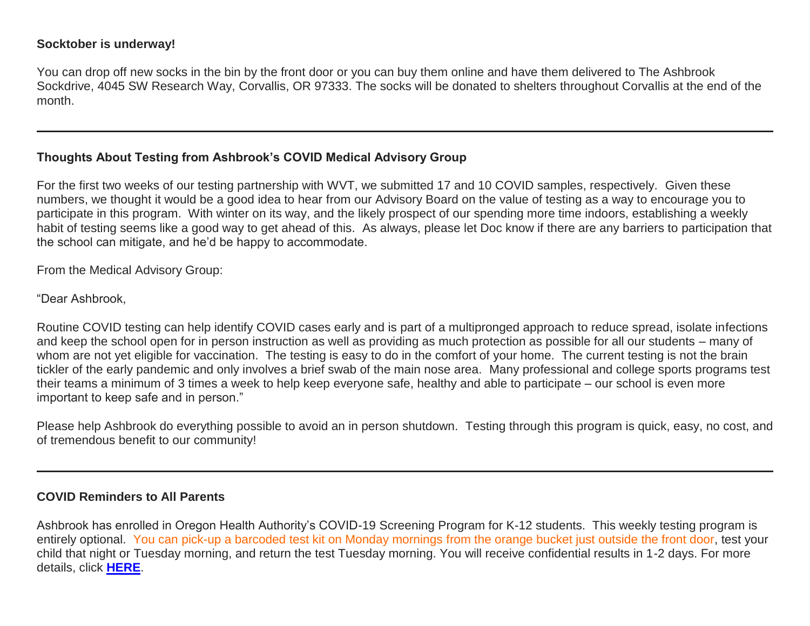#### **Socktober is underway!**

You can drop off new socks in the bin by the front door or you can buy them online and have them delivered to The Ashbrook Sockdrive, 4045 SW Research Way, Corvallis, OR 97333. The socks will be donated to shelters throughout Corvallis at the end of the month.

#### **Thoughts About Testing from Ashbrook's COVID Medical Advisory Group**

For the first two weeks of our testing partnership with WVT, we submitted 17 and 10 COVID samples, respectively. Given these numbers, we thought it would be a good idea to hear from our Advisory Board on the value of testing as a way to encourage you to participate in this program. With winter on its way, and the likely prospect of our spending more time indoors, establishing a weekly habit of testing seems like a good way to get ahead of this. As always, please let Doc know if there are any barriers to participation that the school can mitigate, and he'd be happy to accommodate.

From the Medical Advisory Group:

"Dear Ashbrook,

Routine COVID testing can help identify COVID cases early and is part of a multipronged approach to reduce spread, isolate infections and keep the school open for in person instruction as well as providing as much protection as possible for all our students – many of whom are not yet eligible for vaccination. The testing is easy to do in the comfort of your home. The current testing is not the brain tickler of the early pandemic and only involves a brief swab of the main nose area. Many professional and college sports programs test their teams a minimum of 3 times a week to help keep everyone safe, healthy and able to participate – our school is even more important to keep safe and in person."

Please help Ashbrook do everything possible to avoid an in person shutdown. Testing through this program is quick, easy, no cost, and of tremendous benefit to our community!

#### **COVID Reminders to All Parents**

Ashbrook has enrolled in Oregon Health Authority's COVID-19 Screening Program for K-12 students. This weekly testing program is entirely optional. You can pick-up a barcoded test kit on Monday mornings from the orange bucket just outside the front door, test your child that night or Tuesday morning, and return the test Tuesday morning. You will receive confidential results in 1-2 days. For more details, click **[HERE](http://link.mystudentsprogress.com/ls/click?upn=n7jYKe39nC4PrVAw2BzaOolgU5XUleaJ61qfvNJxTW3uoi8RFzNYUfSc1qXdqajA34djZWrxIBJBxzp2whbybvqIYp3dDOkCDgKesziBdCm5lREQK9RheqVEh9QjAqMMz0UWhlnOZ-2B3RUAGeWpjHrkMIUF8j8RLxhXnCxS94iqC4ZnDQ5YPoCZSnFKK3KrrVqFNY_1PndbFfBoQGSZbxwXHHEexw3B2F0fG-2BUmuXm6a-2BX-2BzswNDzDEkCCQHprs6NZrRojRJ7SgLZ3Tgg3CrPtJSKtJlsMH6dkzBvjBUkSbB5jSR7JRW0SNV-2B6MsQOfeFxsv0OqeuEXKgRnskMcsTkbepwV080gn4pYPtK8tG2L-2FEMYeSV-2B1dZeyio-2B6jEMQTRrFDbGtlFOHSscpSuMGgFN70IFnbXrcyJa-2B2cpgXBEUfthgcBLz4LmxiurQmepYtBXM2hpv-2BDfdYi4CsuOAuNb9S47Bx6wKqiUyxoJyBUlhs2lgMohqzCXrv819mSh3pCMZPppO6TtjZDZRgFmZNBDrWnOSYOvKKqrz6WM12X2E3cMhv6preBvlrVQEB5WDVMCdxBCd-2F3RVPe-2BL5rnhlNyTNcXipfmcf-2F1ljZrg5G8-2BJVvXUW4BjV4T8O1ALKUhiuDUCE)**.